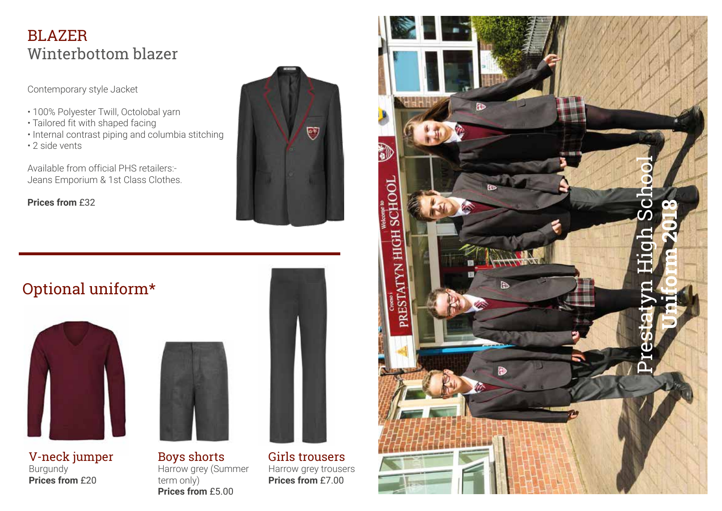#### BLAZER Winterbottom blazer

Contemporary style Jacket

- 100% Polyester Twill, Octolobal yarn
- Tailored fit with shaped facing
- Internal contrast piping and columbia stitching
- 2 side vents

Available from official PHS retailers:- Jeans Emporium & 1st Class Clothes.

**Prices from** £32



### Optional uniform\*



V-neck jumper Burgundy **Prices from** £20



Boys shorts Harrow grey (Summer term only) **Prices from** £5.00



Girls trousers Harrow grey trousers **Prices from** £7.00